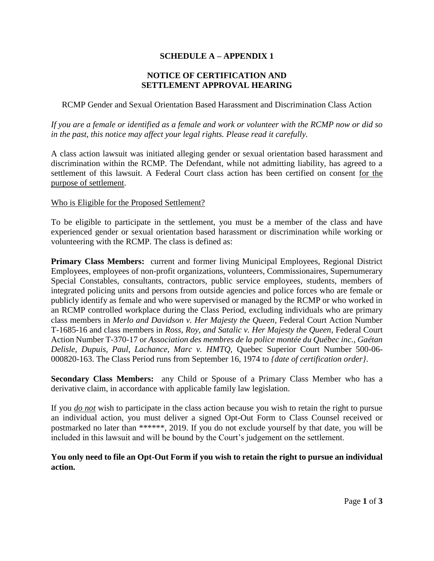# **SCHEDULE A – APPENDIX 1**

## **NOTICE OF CERTIFICATION AND SETTLEMENT APPROVAL HEARING**

RCMP Gender and Sexual Orientation Based Harassment and Discrimination Class Action

*If you are a female or identified as a female and work or volunteer with the RCMP now or did so in the past, this notice may affect your legal rights. Please read it carefully.*

A class action lawsuit was initiated alleging gender or sexual orientation based harassment and discrimination within the RCMP. The Defendant, while not admitting liability, has agreed to a settlement of this lawsuit. A Federal Court class action has been certified on consent for the purpose of settlement.

#### Who is Eligible for the Proposed Settlement?

To be eligible to participate in the settlement, you must be a member of the class and have experienced gender or sexual orientation based harassment or discrimination while working or volunteering with the RCMP. The class is defined as:

**Primary Class Members:** current and former living Municipal Employees, Regional District Employees, employees of non-profit organizations, volunteers, Commissionaires, Supernumerary Special Constables, consultants, contractors, public service employees, students, members of integrated policing units and persons from outside agencies and police forces who are female or publicly identify as female and who were supervised or managed by the RCMP or who worked in an RCMP controlled workplace during the Class Period, excluding individuals who are primary class members in *Merlo and Davidson v. Her Majesty the Queen*, Federal Court Action Number T-1685-16 and class members in *Ross, Roy, and Satalic v. Her Majesty the Queen*, Federal Court Action Number T-370-17 or *Association des membres de la police montée du Québec inc., Gaétan Delisle, Dupuis, Paul, Lachance, Marc v. HMTQ,* Quebec Superior Court Number 500-06- 000820-163. The Class Period runs from September 16, 1974 to *{date of certification order}*.

**Secondary Class Members:** any Child or Spouse of a Primary Class Member who has a derivative claim, in accordance with applicable family law legislation.

If you *do not* wish to participate in the class action because you wish to retain the right to pursue an individual action, you must deliver a signed Opt-Out Form to Class Counsel received or postmarked no later than \*\*\*\*\*\*, 2019. If you do not exclude yourself by that date, you will be included in this lawsuit and will be bound by the Court's judgement on the settlement.

## **You only need to file an Opt-Out Form if you wish to retain the right to pursue an individual action.**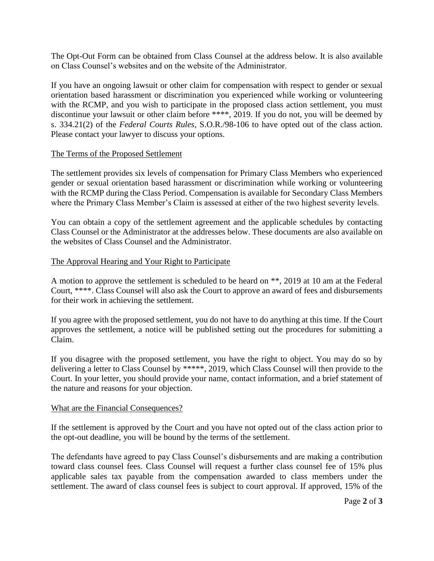The Opt-Out Form can be obtained from Class Counsel at the address below. It is also available on Class Counsel's websites and on the website of the Administrator.

If you have an ongoing lawsuit or other claim for compensation with respect to gender or sexual orientation based harassment or discrimination you experienced while working or volunteering with the RCMP, and you wish to participate in the proposed class action settlement, you must discontinue your lawsuit or other claim before \*\*\*\*, 2019. If you do not, you will be deemed by s. 334.21(2) of the *Federal Courts Rules*, S.O.R./98-106 to have opted out of the class action. Please contact your lawyer to discuss your options.

#### The Terms of the Proposed Settlement

The settlement provides six levels of compensation for Primary Class Members who experienced gender or sexual orientation based harassment or discrimination while working or volunteering with the RCMP during the Class Period. Compensation is available for Secondary Class Members where the Primary Class Member's Claim is assessed at either of the two highest severity levels.

You can obtain a copy of the settlement agreement and the applicable schedules by contacting Class Counsel or the Administrator at the addresses below. These documents are also available on the websites of Class Counsel and the Administrator.

#### The Approval Hearing and Your Right to Participate

A motion to approve the settlement is scheduled to be heard on \*\*, 2019 at 10 am at the Federal Court, \*\*\*\*. Class Counsel will also ask the Court to approve an award of fees and disbursements for their work in achieving the settlement.

If you agree with the proposed settlement, you do not have to do anything at this time. If the Court approves the settlement, a notice will be published setting out the procedures for submitting a Claim.

If you disagree with the proposed settlement, you have the right to object. You may do so by delivering a letter to Class Counsel by \*\*\*\*\*, 2019, which Class Counsel will then provide to the Court. In your letter, you should provide your name, contact information, and a brief statement of the nature and reasons for your objection.

#### What are the Financial Consequences?

If the settlement is approved by the Court and you have not opted out of the class action prior to the opt-out deadline, you will be bound by the terms of the settlement.

The defendants have agreed to pay Class Counsel's disbursements and are making a contribution toward class counsel fees. Class Counsel will request a further class counsel fee of 15% plus applicable sales tax payable from the compensation awarded to class members under the settlement. The award of class counsel fees is subject to court approval. If approved, 15% of the